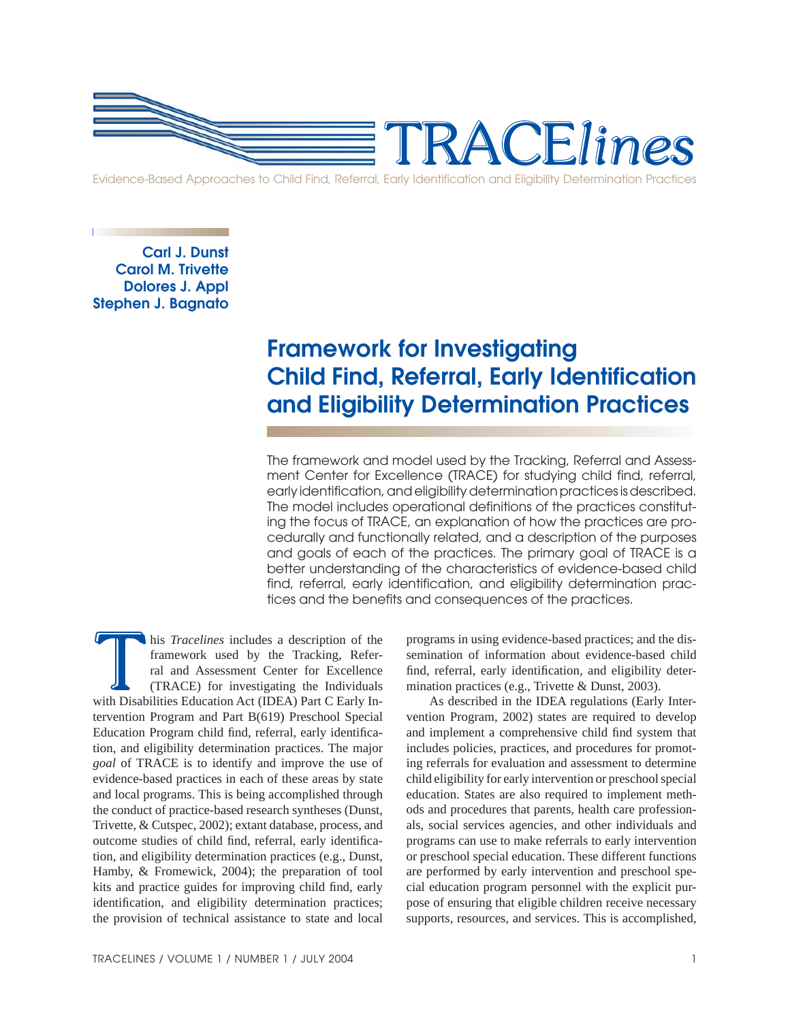

**Carl J. Dunst Carol M. Trivette Dolores J. Appl Stephen J. Bagnato**

# **Framework for Investigating Child Find, Referral, Early Identification and Eligibility Determination Practices**

The framework and model used by the Tracking, Referral and Assessment Center for Excellence (TRACE) for studying child find, referral, early identification, and eligibility determination practices is described. The model includes operational definitions of the practices constituting the focus of TRACE, an explanation of how the practices are procedurally and functionally related, and a description of the purposes and goals of each of the practices. The primary goal of TRACE is a better understanding of the characteristics of evidence-based child find, referral, early identification, and eligibility determination practices and the benefits and consequences of the practices.

his *Tracelines* includes a description of the framework used by the Tracking, Referral and Assessment Center for Excellence (TRACE) for investigating the Individuals with Disabilities Education Act (IDEA) Part C Early Inframework used by the Tracking, Referral and Assessment Center for Excellence (TRACE) for investigating the Individuals his *Tracelines* includes a description of the framework used by the Tracking, Referral and Assessment Center for Excellence (TRACE) for investigating the Individuals with Disabilities Education Act (IDEA) Part C Early Intervention Program and Part B(619) Preschool Special Education Program child find, referral, early identification, and eligibility determination practices. The major *goal* of TRACE is to identify and improve the use of evidence-based practices in each of these areas by state and local programs. This is being accomplished through the conduct of practice-based research syntheses (Dunst, Trivette, & Cutspec, 2002); extant database, process, and outcome studies of child find, referral, early identification, and eligibility determination practices (e.g., Dunst, Hamby, & Fromewick, 2004); the preparation of tool kits and practice guides for improving child find, early identification, and eligibility determination practices; the provision of technical assistance to state and local

programs in using evidence-based practices; and the dissemination of information about evidence-based child find, referral, early identification, and eligibility determination practices (e.g., Trivette & Dunst, 2003).

As described in the IDEA regulations (Early Intervention Program, 2002) states are required to develop and implement a comprehensive child find system that includes policies, practices, and procedures for promoting referrals for evaluation and assessment to determine child eligibility for early intervention or preschool special education. States are also required to implement methods and procedures that parents, health care professionals, social services agencies, and other individuals and programs can use to make referrals to early intervention or preschool special education. These different functions are performed by early intervention and preschool special education program personnel with the explicit purpose of ensuring that eligible children receive necessary supports, resources, and services. This is accomplished,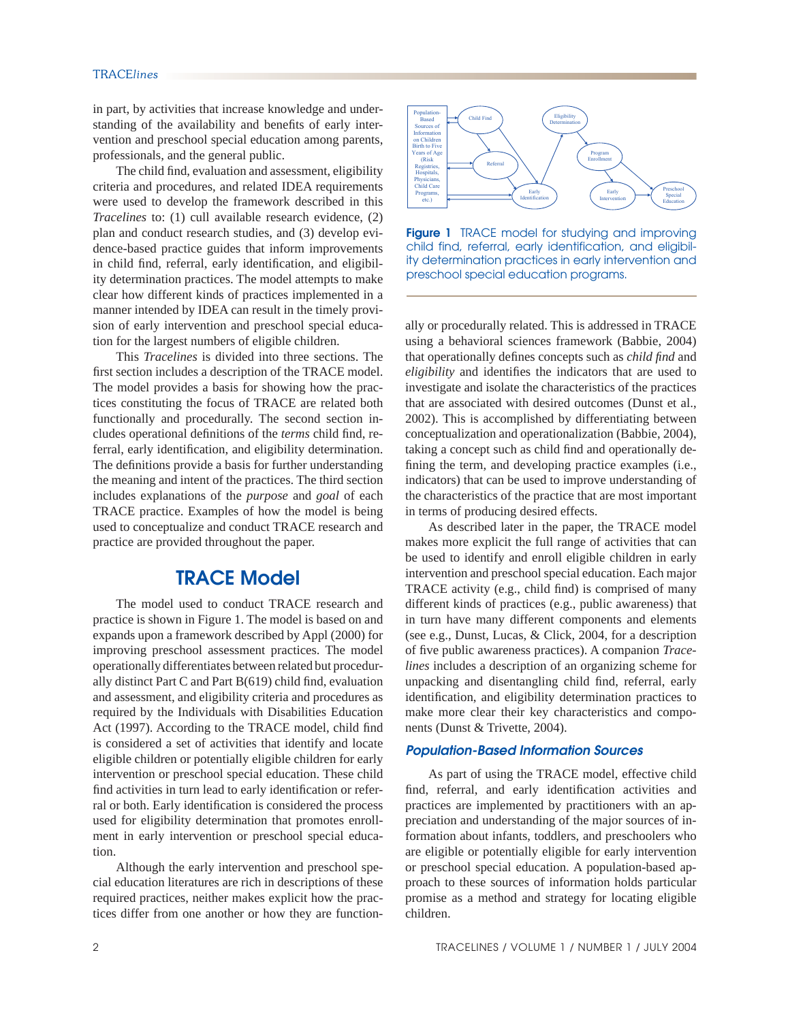in part, by activities that increase knowledge and understanding of the availability and benefits of early intervention and preschool special education among parents, professionals, and the general public.

The child find, evaluation and assessment, eligibility criteria and procedures, and related IDEA requirements were used to develop the framework described in this *Tracelines* to: (1) cull available research evidence, (2) plan and conduct research studies, and (3) develop evidence-based practice guides that inform improvements in child find, referral, early identification, and eligibility determination practices. The model attempts to make clear how different kinds of practices implemented in a manner intended by IDEA can result in the timely provision of early intervention and preschool special education for the largest numbers of eligible children.

 This *Tracelines* is divided into three sections. The first section includes a description of the TRACE model. The model provides a basis for showing how the practices constituting the focus of TRACE are related both functionally and procedurally. The second section includes operational definitions of the *terms* child find, referral, early identification, and eligibility determination. The definitions provide a basis for further understanding the meaning and intent of the practices. The third section includes explanations of the *purpose* and *goal* of each TRACE practice. Examples of how the model is being used to conceptualize and conduct TRACE research and practice are provided throughout the paper.

# **TRACE Model**

The model used to conduct TRACE research and practice is shown in Figure 1. The model is based on and expands upon a framework described by Appl (2000) for improving preschool assessment practices. The model operationally differentiates between related but procedurally distinct Part C and Part  $B(619)$  child find, evaluation and assessment, and eligibility criteria and procedures as required by the Individuals with Disabilities Education Act (1997). According to the TRACE model, child find is considered a set of activities that identify and locate eligible children or potentially eligible children for early intervention or preschool special education. These child find activities in turn lead to early identification or referral or both. Early identification is considered the process used for eligibility determination that promotes enrollment in early intervention or preschool special education.

Although the early intervention and preschool special education literatures are rich in descriptions of these required practices, neither makes explicit how the practices differ from one another or how they are function-



**Figure 1** TRACE model for studying and improving child find, referral, early identification, and eligibility determination practices in early intervention and preschool special education programs.

ally or procedurally related. This is addressed in TRACE using a behavioral sciences framework (Babbie, 2004) that operationally defines concepts such as *child find* and *eligibility* and identifies the indicators that are used to investigate and isolate the characteristics of the practices that are associated with desired outcomes (Dunst et al., 2002). This is accomplished by differentiating between conceptualization and operationalization (Babbie, 2004), taking a concept such as child find and operationally defining the term, and developing practice examples (i.e., indicators) that can be used to improve understanding of the characteristics of the practice that are most important in terms of producing desired effects.

 As described later in the paper, the TRACE model makes more explicit the full range of activities that can be used to identify and enroll eligible children in early intervention and preschool special education. Each major TRACE activity (e.g., child find) is comprised of many different kinds of practices (e.g., public awareness) that in turn have many different components and elements (see e.g., Dunst, Lucas, & Click, 2004, for a description of five public awareness practices). A companion *Tracelines* includes a description of an organizing scheme for unpacking and disentangling child find, referral, early identification, and eligibility determination practices to make more clear their key characteristics and components (Dunst & Trivette, 2004).

### *Population-Based Information Sources*

 As part of using the TRACE model, effective child find, referral, and early identification activities and practices are implemented by practitioners with an appreciation and understanding of the major sources of information about infants, toddlers, and preschoolers who are eligible or potentially eligible for early intervention or preschool special education. A population-based approach to these sources of information holds particular promise as a method and strategy for locating eligible children.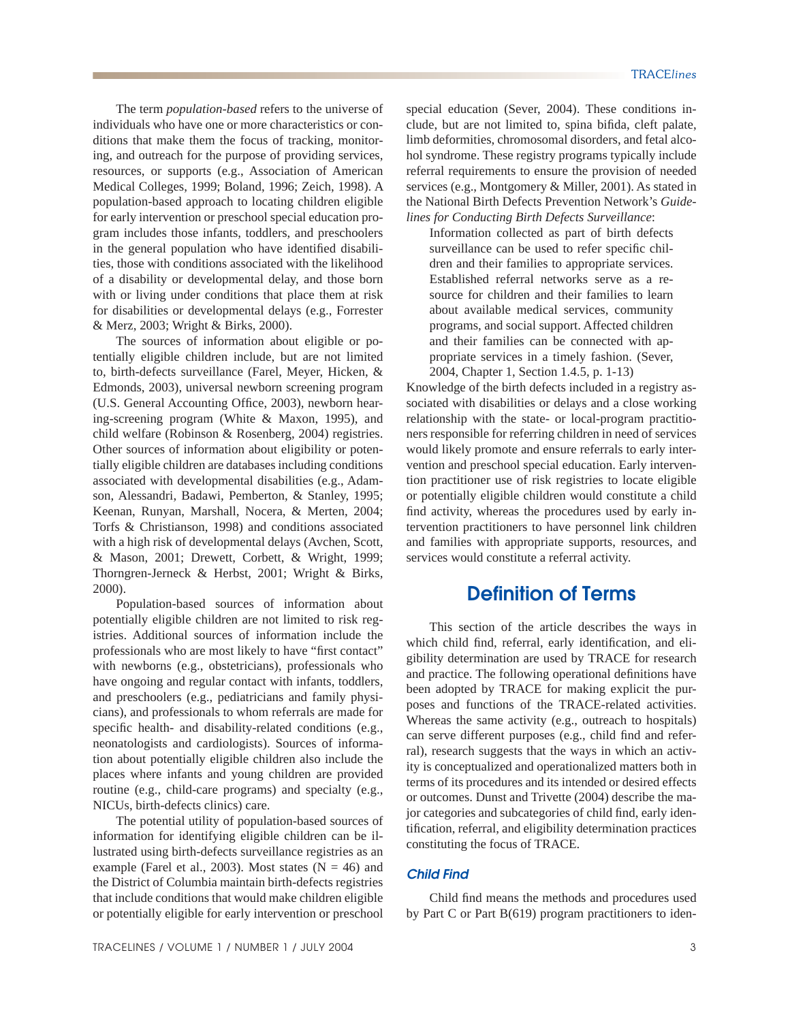The term *population-based* refers to the universe of individuals who have one or more characteristics or conditions that make them the focus of tracking, monitoring, and outreach for the purpose of providing services, resources, or supports (e.g., Association of American Medical Colleges, 1999; Boland, 1996; Zeich, 1998). A population-based approach to locating children eligible for early intervention or preschool special education program includes those infants, toddlers, and preschoolers in the general population who have identified disabilities, those with conditions associated with the likelihood of a disability or developmental delay, and those born with or living under conditions that place them at risk for disabilities or developmental delays (e.g., Forrester & Merz, 2003; Wright & Birks, 2000).

 The sources of information about eligible or potentially eligible children include, but are not limited to, birth-defects surveillance (Farel, Meyer, Hicken, & Edmonds, 2003), universal newborn screening program (U.S. General Accounting Office, 2003), newborn hearing-screening program (White & Maxon, 1995), and child welfare (Robinson & Rosenberg, 2004) registries. Other sources of information about eligibility or potentially eligible children are databases including conditions associated with developmental disabilities (e.g., Adamson, Alessandri, Badawi, Pemberton, & Stanley, 1995; Keenan, Runyan, Marshall, Nocera, & Merten, 2004; Torfs & Christianson, 1998) and conditions associated with a high risk of developmental delays (Avchen, Scott, & Mason, 2001; Drewett, Corbett, & Wright, 1999; Thorngren-Jerneck & Herbst, 2001; Wright & Birks, 2000).

 Population-based sources of information about potentially eligible children are not limited to risk registries. Additional sources of information include the professionals who are most likely to have "first contact" with newborns (e.g., obstetricians), professionals who have ongoing and regular contact with infants, toddlers, and preschoolers (e.g., pediatricians and family physicians), and professionals to whom referrals are made for specific health- and disability-related conditions (e.g., neonatologists and cardiologists). Sources of information about potentially eligible children also include the places where infants and young children are provided routine (e.g., child-care programs) and specialty (e.g., NICUs, birth-defects clinics) care.

 The potential utility of population-based sources of information for identifying eligible children can be illustrated using birth-defects surveillance registries as an example (Farel et al., 2003). Most states  $(N = 46)$  and the District of Columbia maintain birth-defects registries that include conditions that would make children eligible or potentially eligible for early intervention or preschool special education (Sever, 2004). These conditions include, but are not limited to, spina bifida, cleft palate, limb deformities, chromosomal disorders, and fetal alcohol syndrome. These registry programs typically include referral requirements to ensure the provision of needed services (e.g., Montgomery & Miller, 2001). As stated in the National Birth Defects Prevention Network's *Guidelines for Conducting Birth Defects Surveillance*:

Information collected as part of birth defects surveillance can be used to refer specific children and their families to appropriate services. Established referral networks serve as a resource for children and their families to learn about available medical services, community programs, and social support. Affected children and their families can be connected with appropriate services in a timely fashion. (Sever, 2004, Chapter 1, Section 1.4.5, p. 1-13)

Knowledge of the birth defects included in a registry associated with disabilities or delays and a close working relationship with the state- or local-program practitioners responsible for referring children in need of services would likely promote and ensure referrals to early intervention and preschool special education. Early intervention practitioner use of risk registries to locate eligible or potentially eligible children would constitute a child find activity, whereas the procedures used by early intervention practitioners to have personnel link children and families with appropriate supports, resources, and services would constitute a referral activity.

# **Definition of Terms**

 This section of the article describes the ways in which child find, referral, early identification, and eligibility determination are used by TRACE for research and practice. The following operational definitions have been adopted by TRACE for making explicit the purposes and functions of the TRACE-related activities. Whereas the same activity (e.g., outreach to hospitals) can serve different purposes (e.g., child find and referral), research suggests that the ways in which an activity is conceptualized and operationalized matters both in terms of its procedures and its intended or desired effects or outcomes. Dunst and Trivette (2004) describe the major categories and subcategories of child find, early identification, referral, and eligibility determination practices constituting the focus of TRACE.

### *Child Find*

Child find means the methods and procedures used by Part C or Part B(619) program practitioners to iden-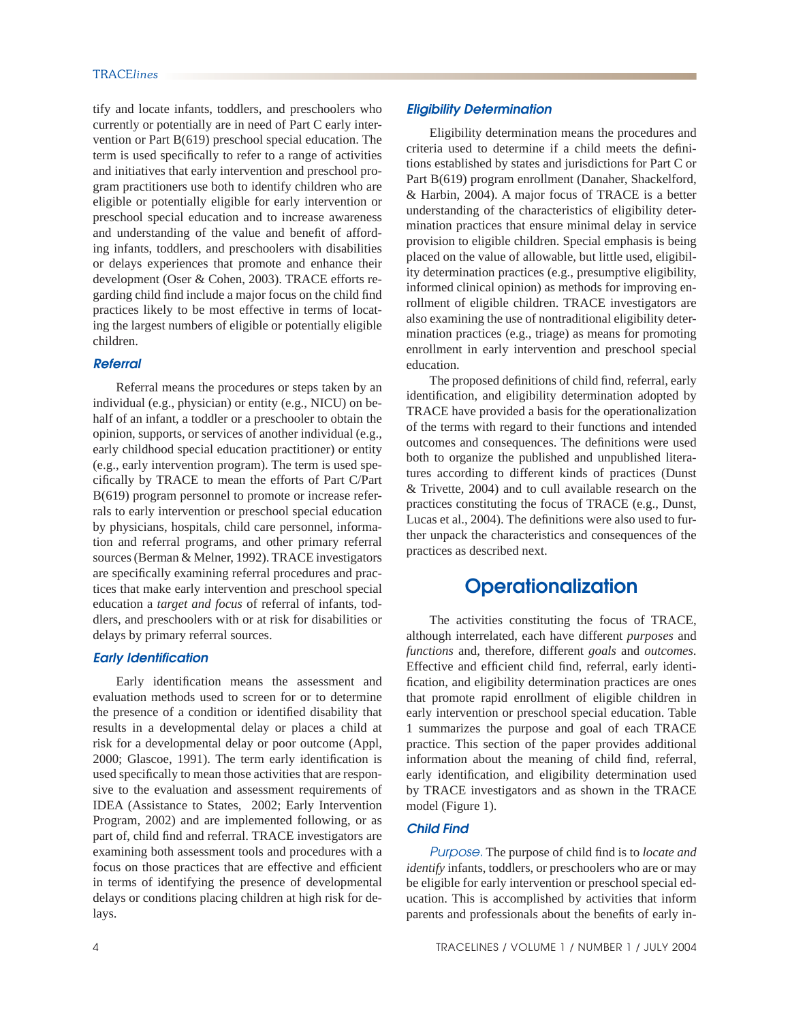tify and locate infants, toddlers, and preschoolers who currently or potentially are in need of Part C early intervention or Part B(619) preschool special education. The term is used specifically to refer to a range of activities and initiatives that early intervention and preschool program practitioners use both to identify children who are eligible or potentially eligible for early intervention or preschool special education and to increase awareness and understanding of the value and benefit of affording infants, toddlers, and preschoolers with disabilities or delays experiences that promote and enhance their development (Oser & Cohen, 2003). TRACE efforts regarding child find include a major focus on the child find practices likely to be most effective in terms of locating the largest numbers of eligible or potentially eligible children.

#### *Referral*

 Referral means the procedures or steps taken by an individual (e.g., physician) or entity (e.g., NICU) on behalf of an infant, a toddler or a preschooler to obtain the opinion, supports, or services of another individual (e.g., early childhood special education practitioner) or entity (e.g., early intervention program). The term is used specifically by TRACE to mean the efforts of Part C/Part B(619) program personnel to promote or increase referrals to early intervention or preschool special education by physicians, hospitals, child care personnel, information and referral programs, and other primary referral sources (Berman & Melner, 1992). TRACE investigators are specifically examining referral procedures and practices that make early intervention and preschool special education a *target and focus* of referral of infants, toddlers, and preschoolers with or at risk for disabilities or delays by primary referral sources.

### *Early Identification*

Early identification means the assessment and evaluation methods used to screen for or to determine the presence of a condition or identified disability that results in a developmental delay or places a child at risk for a developmental delay or poor outcome (Appl, 2000; Glascoe, 1991). The term early identification is used specifically to mean those activities that are responsive to the evaluation and assessment requirements of IDEA (Assistance to States, 2002; Early Intervention Program, 2002) and are implemented following, or as part of, child find and referral. TRACE investigators are examining both assessment tools and procedures with a focus on those practices that are effective and efficient in terms of identifying the presence of developmental delays or conditions placing children at high risk for delays.

 Eligibility determination means the procedures and criteria used to determine if a child meets the definitions established by states and jurisdictions for Part C or Part B(619) program enrollment (Danaher, Shackelford, & Harbin, 2004). A major focus of TRACE is a better understanding of the characteristics of eligibility determination practices that ensure minimal delay in service provision to eligible children. Special emphasis is being placed on the value of allowable, but little used, eligibility determination practices (e.g., presumptive eligibility, informed clinical opinion) as methods for improving enrollment of eligible children. TRACE investigators are also examining the use of nontraditional eligibility determination practices (e.g., triage) as means for promoting enrollment in early intervention and preschool special education.

The proposed definitions of child find, referral, early identification, and eligibility determination adopted by TRACE have provided a basis for the operationalization of the terms with regard to their functions and intended outcomes and consequences. The definitions were used both to organize the published and unpublished literatures according to different kinds of practices (Dunst & Trivette, 2004) and to cull available research on the practices constituting the focus of TRACE (e.g., Dunst, Lucas et al., 2004). The definitions were also used to further unpack the characteristics and consequences of the practices as described next.

# **Operationalization**

 The activities constituting the focus of TRACE, although interrelated, each have different *purposes* and *functions* and, therefore, different *goals* and *outcomes*. Effective and efficient child find, referral, early identification, and eligibility determination practices are ones that promote rapid enrollment of eligible children in early intervention or preschool special education. Table 1 summarizes the purpose and goal of each TRACE practice. This section of the paper provides additional information about the meaning of child find, referral, early identification, and eligibility determination used by TRACE investigators and as shown in the TRACE model (Figure 1).

### *Child Find*

*Purpose.* The purpose of child find is to *locate and identify* infants, toddlers, or preschoolers who are or may be eligible for early intervention or preschool special education. This is accomplished by activities that inform parents and professionals about the benefits of early in-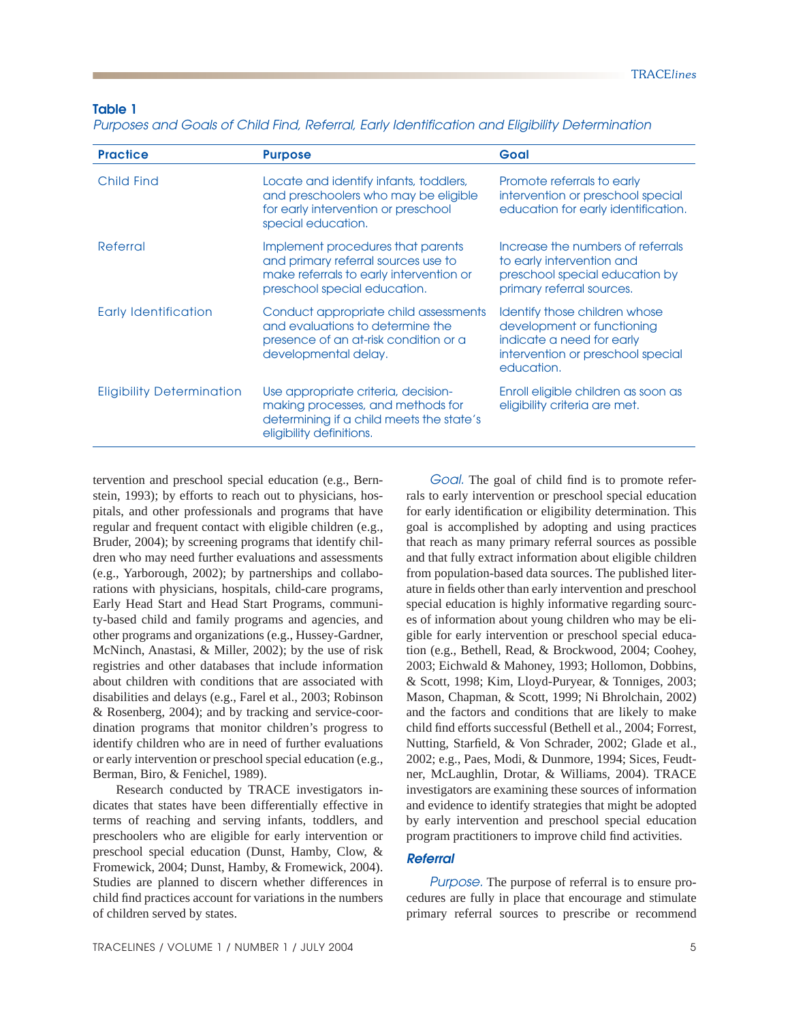### **Table 1**

*Purposes and Goals of Child Find, Referral, Early Identification and Eligibility Determination*

| <b>Practice</b>                  | <b>Purpose</b>                                                                                                                                      | Goal                                                                                                                                        |
|----------------------------------|-----------------------------------------------------------------------------------------------------------------------------------------------------|---------------------------------------------------------------------------------------------------------------------------------------------|
| Child Find                       | Locate and identify infants, toddlers,<br>and preschoolers who may be eligible<br>for early intervention or preschool<br>special education.         | Promote referrals to early<br>intervention or preschool special<br>education for early identification.                                      |
| Referral                         | Implement procedures that parents<br>and primary referral sources use to<br>make referrals to early intervention or<br>preschool special education. | Increase the numbers of referrals<br>to early intervention and<br>preschool special education by<br>primary referral sources.               |
| <b>Early Identification</b>      | Conduct appropriate child assessments<br>and evaluations to determine the<br>presence of an at-risk condition or a<br>developmental delay.          | Identify those children whose<br>development or functioning<br>indicate a need for early<br>intervention or preschool special<br>education. |
| <b>Eligibility Determination</b> | Use appropriate criteria, decision-<br>making processes, and methods for<br>determining if a child meets the state's<br>eligibility definitions.    | Enroll eligible children as soon as<br>eligibility criteria are met.                                                                        |

tervention and preschool special education (e.g., Bernstein, 1993); by efforts to reach out to physicians, hospitals, and other professionals and programs that have regular and frequent contact with eligible children (e.g., Bruder, 2004); by screening programs that identify children who may need further evaluations and assessments (e.g., Yarborough, 2002); by partnerships and collaborations with physicians, hospitals, child-care programs, Early Head Start and Head Start Programs, community-based child and family programs and agencies, and other programs and organizations (e.g., Hussey-Gardner, McNinch, Anastasi, & Miller, 2002); by the use of risk registries and other databases that include information about children with conditions that are associated with disabilities and delays (e.g., Farel et al., 2003; Robinson & Rosenberg, 2004); and by tracking and service-coordination programs that monitor children's progress to identify children who are in need of further evaluations or early intervention or preschool special education (e.g., Berman, Biro, & Fenichel, 1989).

 Research conducted by TRACE investigators indicates that states have been differentially effective in terms of reaching and serving infants, toddlers, and preschoolers who are eligible for early intervention or preschool special education (Dunst, Hamby, Clow, & Fromewick, 2004; Dunst, Hamby, & Fromewick, 2004). Studies are planned to discern whether differences in child find practices account for variations in the numbers of children served by states.

*Goal.* The goal of child find is to promote referrals to early intervention or preschool special education for early identification or eligibility determination. This goal is accomplished by adopting and using practices that reach as many primary referral sources as possible and that fully extract information about eligible children from population-based data sources. The published literature in fields other than early intervention and preschool special education is highly informative regarding sources of information about young children who may be eligible for early intervention or preschool special education (e.g., Bethell, Read, & Brockwood, 2004; Coohey, 2003; Eichwald & Mahoney, 1993; Hollomon, Dobbins, & Scott, 1998; Kim, Lloyd-Puryear, & Tonniges, 2003; Mason, Chapman, & Scott, 1999; Ni Bhrolchain, 2002) and the factors and conditions that are likely to make child find efforts successful (Bethell et al., 2004; Forrest, Nutting, Starfield, & Von Schrader, 2002; Glade et al., 2002; e.g., Paes, Modi, & Dunmore, 1994; Sices, Feudtner, McLaughlin, Drotar, & Williams, 2004). TRACE investigators are examining these sources of information and evidence to identify strategies that might be adopted by early intervention and preschool special education program practitioners to improve child find activities.

### *Referral*

*Purpose.* The purpose of referral is to ensure procedures are fully in place that encourage and stimulate primary referral sources to prescribe or recommend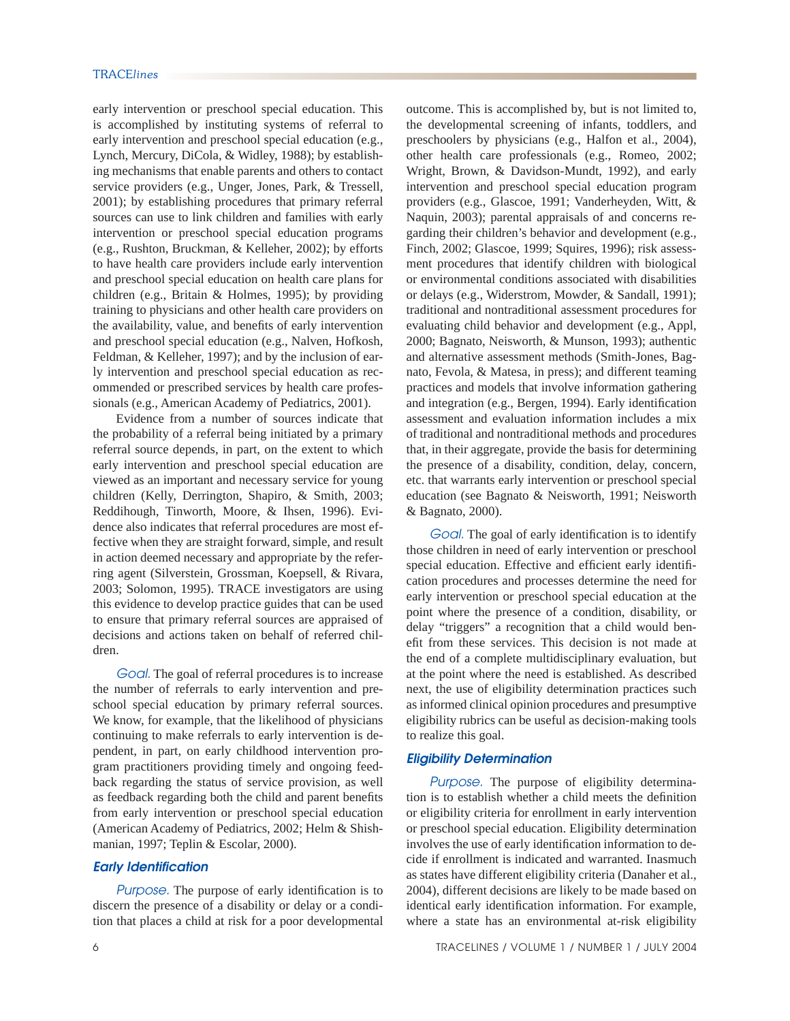early intervention or preschool special education. This is accomplished by instituting systems of referral to early intervention and preschool special education (e.g., Lynch, Mercury, DiCola, & Widley, 1988); by establishing mechanisms that enable parents and others to contact service providers (e.g., Unger, Jones, Park, & Tressell, 2001); by establishing procedures that primary referral sources can use to link children and families with early intervention or preschool special education programs (e.g., Rushton, Bruckman, & Kelleher, 2002); by efforts to have health care providers include early intervention and preschool special education on health care plans for children (e.g., Britain & Holmes, 1995); by providing training to physicians and other health care providers on the availability, value, and benefits of early intervention and preschool special education (e.g., Nalven, Hofkosh, Feldman, & Kelleher, 1997); and by the inclusion of early intervention and preschool special education as recommended or prescribed services by health care professionals (e.g., American Academy of Pediatrics, 2001).

 Evidence from a number of sources indicate that the probability of a referral being initiated by a primary referral source depends, in part, on the extent to which early intervention and preschool special education are viewed as an important and necessary service for young children (Kelly, Derrington, Shapiro, & Smith, 2003; Reddihough, Tinworth, Moore, & Ihsen, 1996). Evidence also indicates that referral procedures are most effective when they are straight forward, simple, and result in action deemed necessary and appropriate by the referring agent (Silverstein, Grossman, Koepsell, & Rivara, 2003; Solomon, 1995). TRACE investigators are using this evidence to develop practice guides that can be used to ensure that primary referral sources are appraised of decisions and actions taken on behalf of referred children.

 *Goal.* The goal of referral procedures is to increase the number of referrals to early intervention and preschool special education by primary referral sources. We know, for example, that the likelihood of physicians continuing to make referrals to early intervention is dependent, in part, on early childhood intervention program practitioners providing timely and ongoing feedback regarding the status of service provision, as well as feedback regarding both the child and parent benefits from early intervention or preschool special education (American Academy of Pediatrics, 2002; Helm & Shishmanian, 1997; Teplin & Escolar, 2000).

#### *Early Identification*

Purpose. The purpose of early identification is to discern the presence of a disability or delay or a condition that places a child at risk for a poor developmental outcome. This is accomplished by, but is not limited to, the developmental screening of infants, toddlers, and preschoolers by physicians (e.g., Halfon et al., 2004), other health care professionals (e.g., Romeo, 2002; Wright, Brown, & Davidson-Mundt, 1992), and early intervention and preschool special education program providers (e.g., Glascoe, 1991; Vanderheyden, Witt, & Naquin, 2003); parental appraisals of and concerns regarding their children's behavior and development (e.g., Finch, 2002; Glascoe, 1999; Squires, 1996); risk assessment procedures that identify children with biological or environmental conditions associated with disabilities or delays (e.g., Widerstrom, Mowder, & Sandall, 1991); traditional and nontraditional assessment procedures for evaluating child behavior and development (e.g., Appl, 2000; Bagnato, Neisworth, & Munson, 1993); authentic and alternative assessment methods (Smith-Jones, Bagnato, Fevola, & Matesa, in press); and different teaming practices and models that involve information gathering and integration (e.g., Bergen, 1994). Early identification assessment and evaluation information includes a mix of traditional and nontraditional methods and procedures that, in their aggregate, provide the basis for determining the presence of a disability, condition, delay, concern, etc. that warrants early intervention or preschool special education (see Bagnato & Neisworth, 1991; Neisworth & Bagnato, 2000).

*Goal.* The goal of early identification is to identify those children in need of early intervention or preschool special education. Effective and efficient early identification procedures and processes determine the need for early intervention or preschool special education at the point where the presence of a condition, disability, or delay "triggers" a recognition that a child would benefit from these services. This decision is not made at the end of a complete multidisciplinary evaluation, but at the point where the need is established. As described next, the use of eligibility determination practices such as informed clinical opinion procedures and presumptive eligibility rubrics can be useful as decision-making tools to realize this goal.

#### *Eligibility Determination*

*Purpose.* The purpose of eligibility determination is to establish whether a child meets the definition or eligibility criteria for enrollment in early intervention or preschool special education. Eligibility determination involves the use of early identification information to decide if enrollment is indicated and warranted. Inasmuch as states have different eligibility criteria (Danaher et al., 2004), different decisions are likely to be made based on identical early identification information. For example, where a state has an environmental at-risk eligibility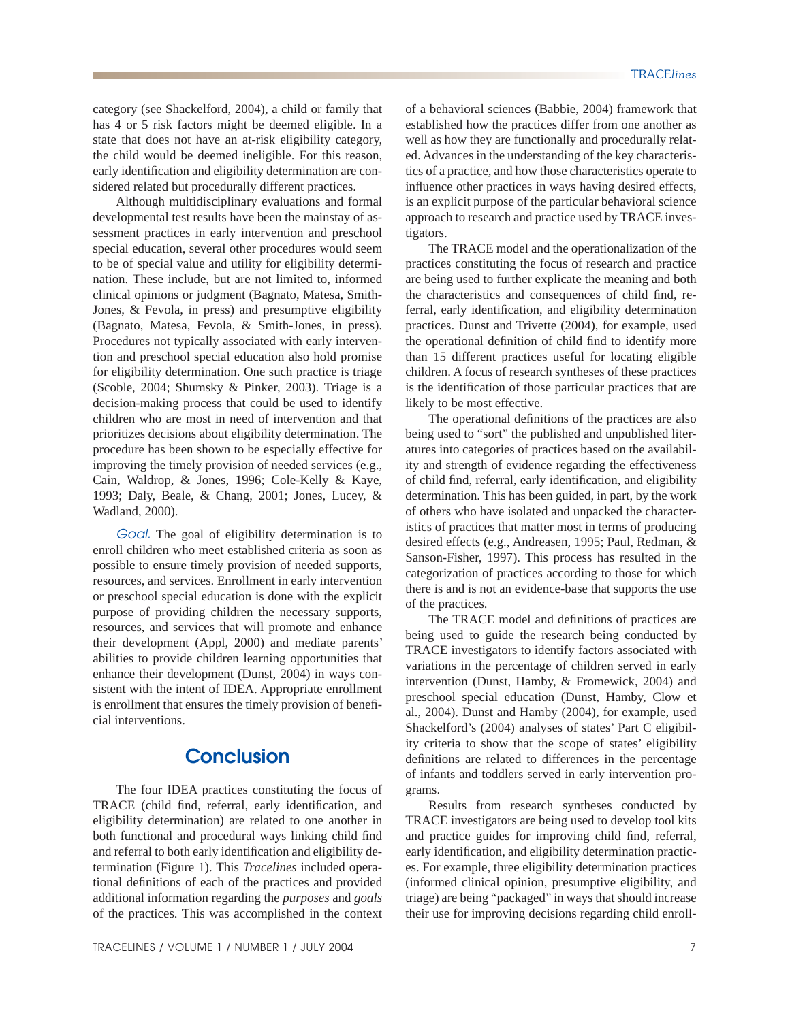category (see Shackelford, 2004), a child or family that has 4 or 5 risk factors might be deemed eligible. In a state that does not have an at-risk eligibility category, the child would be deemed ineligible. For this reason, early identification and eligibility determination are considered related but procedurally different practices.

 Although multidisciplinary evaluations and formal developmental test results have been the mainstay of assessment practices in early intervention and preschool special education, several other procedures would seem to be of special value and utility for eligibility determination. These include, but are not limited to, informed clinical opinions or judgment (Bagnato, Matesa, Smith-Jones, & Fevola, in press) and presumptive eligibility (Bagnato, Matesa, Fevola, & Smith-Jones, in press). Procedures not typically associated with early intervention and preschool special education also hold promise for eligibility determination. One such practice is triage (Scoble, 2004; Shumsky & Pinker, 2003). Triage is a decision-making process that could be used to identify children who are most in need of intervention and that prioritizes decisions about eligibility determination. The procedure has been shown to be especially effective for improving the timely provision of needed services (e.g., Cain, Waldrop, & Jones, 1996; Cole-Kelly & Kaye, 1993; Daly, Beale, & Chang, 2001; Jones, Lucey, & Wadland, 2000).

*Goal.* The goal of eligibility determination is to enroll children who meet established criteria as soon as possible to ensure timely provision of needed supports, resources, and services. Enrollment in early intervention or preschool special education is done with the explicit purpose of providing children the necessary supports, resources, and services that will promote and enhance their development (Appl, 2000) and mediate parents' abilities to provide children learning opportunities that enhance their development (Dunst, 2004) in ways consistent with the intent of IDEA. Appropriate enrollment is enrollment that ensures the timely provision of beneficial interventions.

## **Conclusion**

 The four IDEA practices constituting the focus of TRACE (child find, referral, early identification, and eligibility determination) are related to one another in both functional and procedural ways linking child find and referral to both early identification and eligibility determination (Figure 1). This *Tracelines* included operational definitions of each of the practices and provided additional information regarding the *purposes* and *goals* of the practices. This was accomplished in the context of a behavioral sciences (Babbie, 2004) framework that established how the practices differ from one another as well as how they are functionally and procedurally related. Advances in the understanding of the key characteristics of a practice, and how those characteristics operate to influence other practices in ways having desired effects, is an explicit purpose of the particular behavioral science approach to research and practice used by TRACE investigators.

 The TRACE model and the operationalization of the practices constituting the focus of research and practice are being used to further explicate the meaning and both the characteristics and consequences of child find, referral, early identification, and eligibility determination practices. Dunst and Trivette (2004), for example, used the operational definition of child find to identify more than 15 different practices useful for locating eligible children. A focus of research syntheses of these practices is the identification of those particular practices that are likely to be most effective.

The operational definitions of the practices are also being used to "sort" the published and unpublished literatures into categories of practices based on the availability and strength of evidence regarding the effectiveness of child find, referral, early identification, and eligibility determination. This has been guided, in part, by the work of others who have isolated and unpacked the characteristics of practices that matter most in terms of producing desired effects (e.g., Andreasen, 1995; Paul, Redman, & Sanson-Fisher, 1997). This process has resulted in the categorization of practices according to those for which there is and is not an evidence-base that supports the use of the practices.

The TRACE model and definitions of practices are being used to guide the research being conducted by TRACE investigators to identify factors associated with variations in the percentage of children served in early intervention (Dunst, Hamby, & Fromewick, 2004) and preschool special education (Dunst, Hamby, Clow et al., 2004). Dunst and Hamby (2004), for example, used Shackelford's (2004) analyses of states' Part C eligibility criteria to show that the scope of states' eligibility definitions are related to differences in the percentage of infants and toddlers served in early intervention programs.

 Results from research syntheses conducted by TRACE investigators are being used to develop tool kits and practice guides for improving child find, referral, early identification, and eligibility determination practices. For example, three eligibility determination practices (informed clinical opinion, presumptive eligibility, and triage) are being "packaged" in ways that should increase their use for improving decisions regarding child enroll-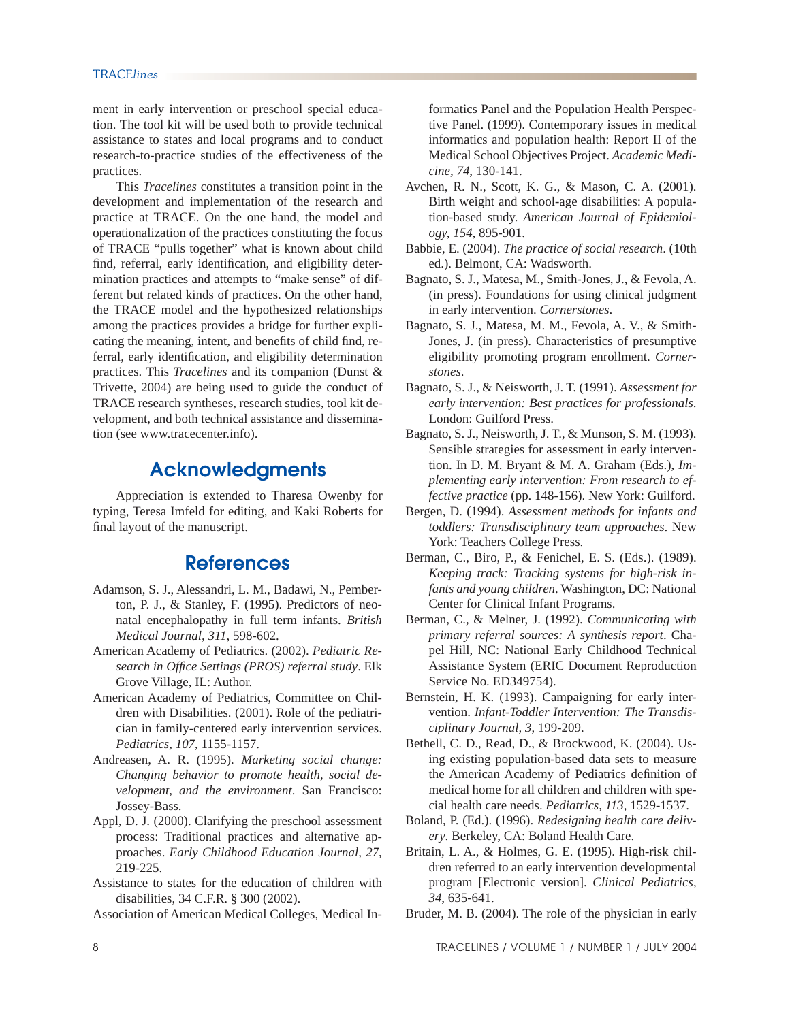ment in early intervention or preschool special education. The tool kit will be used both to provide technical assistance to states and local programs and to conduct research-to-practice studies of the effectiveness of the practices.

 This *Tracelines* constitutes a transition point in the development and implementation of the research and practice at TRACE. On the one hand, the model and operationalization of the practices constituting the focus of TRACE "pulls together" what is known about child find, referral, early identification, and eligibility determination practices and attempts to "make sense" of different but related kinds of practices. On the other hand, the TRACE model and the hypothesized relationships among the practices provides a bridge for further explicating the meaning, intent, and benefits of child find, referral, early identification, and eligibility determination practices. This *Tracelines* and its companion (Dunst & Trivette, 2004) are being used to guide the conduct of TRACE research syntheses, research studies, tool kit development, and both technical assistance and dissemination (see www.tracecenter.info).

# **Acknowledgments**

 Appreciation is extended to Tharesa Owenby for typing, Teresa Imfeld for editing, and Kaki Roberts for final layout of the manuscript.

# **References**

- Adamson, S. J., Alessandri, L. M., Badawi, N., Pemberton, P. J., & Stanley, F. (1995). Predictors of neonatal encephalopathy in full term infants. *British Medical Journal, 311*, 598-602.
- American Academy of Pediatrics. (2002). *Pediatric Research in Offi ce Settings (PROS) referral study*. Elk Grove Village, IL: Author.
- American Academy of Pediatrics, Committee on Children with Disabilities. (2001). Role of the pediatrician in family-centered early intervention services. *Pediatrics, 107*, 1155-1157.
- Andreasen, A. R. (1995). *Marketing social change: Changing behavior to promote health, social development, and the environment*. San Francisco: Jossey-Bass.
- Appl, D. J. (2000). Clarifying the preschool assessment process: Traditional practices and alternative approaches. *Early Childhood Education Journal, 27*, 219-225.
- Assistance to states for the education of children with disabilities, 34 C.F.R. § 300 (2002).

Association of American Medical Colleges, Medical In-

formatics Panel and the Population Health Perspective Panel. (1999). Contemporary issues in medical informatics and population health: Report II of the Medical School Objectives Project. *Academic Medicine, 74*, 130-141.

- Avchen, R. N., Scott, K. G., & Mason, C. A. (2001). Birth weight and school-age disabilities: A population-based study. *American Journal of Epidemiology, 154*, 895-901.
- Babbie, E. (2004). *The practice of social research*. (10th ed.). Belmont, CA: Wadsworth.
- Bagnato, S. J., Matesa, M., Smith-Jones, J., & Fevola, A. (in press). Foundations for using clinical judgment in early intervention. *Cornerstones*.
- Bagnato, S. J., Matesa, M. M., Fevola, A. V., & Smith-Jones, J. (in press). Characteristics of presumptive eligibility promoting program enrollment. *Cornerstones*.
- Bagnato, S. J., & Neisworth, J. T. (1991). *Assessment for early intervention: Best practices for professionals*. London: Guilford Press.
- Bagnato, S. J., Neisworth, J. T., & Munson, S. M. (1993). Sensible strategies for assessment in early intervention. In D. M. Bryant & M. A. Graham (Eds.), *Implementing early intervention: From research to effective practice* (pp. 148-156). New York: Guilford.
- Bergen, D. (1994). *Assessment methods for infants and toddlers: Transdisciplinary team approaches*. New York: Teachers College Press.
- Berman, C., Biro, P., & Fenichel, E. S. (Eds.). (1989). *Keeping track: Tracking systems for high-risk infants and young children*. Washington, DC: National Center for Clinical Infant Programs.
- Berman, C., & Melner, J. (1992). *Communicating with primary referral sources: A synthesis report*. Chapel Hill, NC: National Early Childhood Technical Assistance System (ERIC Document Reproduction Service No. ED349754).
- Bernstein, H. K. (1993). Campaigning for early intervention. *Infant-Toddler Intervention: The Transdisciplinary Journal, 3*, 199-209.
- Bethell, C. D., Read, D., & Brockwood, K. (2004). Using existing population-based data sets to measure the American Academy of Pediatrics definition of medical home for all children and children with special health care needs. *Pediatrics, 113*, 1529-1537.
- Boland, P. (Ed.). (1996). *Redesigning health care delivery*. Berkeley, CA: Boland Health Care.
- Britain, L. A., & Holmes, G. E. (1995). High-risk children referred to an early intervention developmental program [Electronic version]. *Clinical Pediatrics, 34*, 635-641.
- Bruder, M. B. (2004). The role of the physician in early

8 TRACELINES / VOLUME 1 / NUMBER 1 / JULY 2004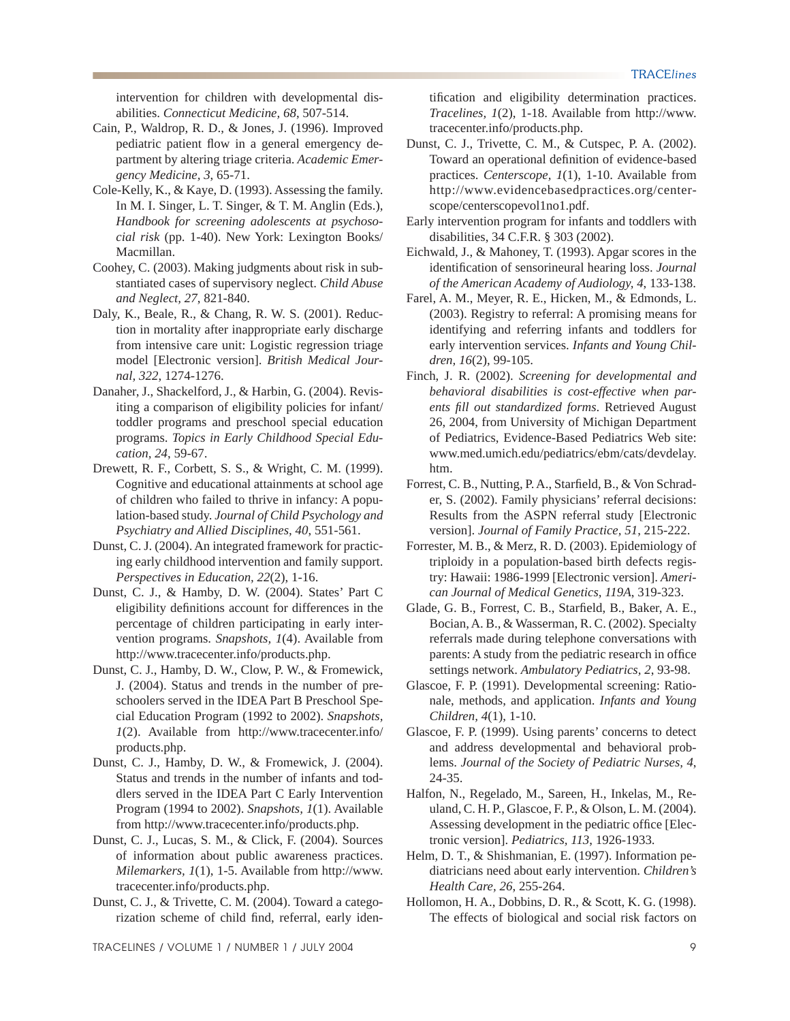intervention for children with developmental disabilities. *Connecticut Medicine, 68*, 507-514.

- Cain, P., Waldrop, R. D., & Jones, J. (1996). Improved pediatric patient flow in a general emergency department by altering triage criteria. *Academic Emergency Medicine, 3*, 65-71.
- Cole-Kelly, K., & Kaye, D. (1993). Assessing the family. In M. I. Singer, L. T. Singer, & T. M. Anglin (Eds.), *Handbook for screening adolescents at psychosocial risk* (pp. 1-40). New York: Lexington Books/ Macmillan.
- Coohey, C. (2003). Making judgments about risk in substantiated cases of supervisory neglect. *Child Abuse and Neglect, 27*, 821-840.
- Daly, K., Beale, R., & Chang, R. W. S. (2001). Reduction in mortality after inappropriate early discharge from intensive care unit: Logistic regression triage model [Electronic version]. *British Medical Journal, 322*, 1274-1276.
- Danaher, J., Shackelford, J., & Harbin, G. (2004). Revisiting a comparison of eligibility policies for infant/ toddler programs and preschool special education programs. *Topics in Early Childhood Special Education, 24*, 59-67.
- Drewett, R. F., Corbett, S. S., & Wright, C. M. (1999). Cognitive and educational attainments at school age of children who failed to thrive in infancy: A population-based study. *Journal of Child Psychology and Psychiatry and Allied Disciplines, 40*, 551-561.
- Dunst, C. J. (2004). An integrated framework for practicing early childhood intervention and family support. *Perspectives in Education, 22*(2), 1-16.
- Dunst, C. J., & Hamby, D. W. (2004). States' Part C eligibility definitions account for differences in the percentage of children participating in early intervention programs. *Snapshots, 1*(4). Available from http://www.tracecenter.info/products.php.
- Dunst, C. J., Hamby, D. W., Clow, P. W., & Fromewick, J. (2004). Status and trends in the number of preschoolers served in the IDEA Part B Preschool Special Education Program (1992 to 2002). *Snapshots, 1*(2). Available from http://www.tracecenter.info/ products.php.
- Dunst, C. J., Hamby, D. W., & Fromewick, J. (2004). Status and trends in the number of infants and toddlers served in the IDEA Part C Early Intervention Program (1994 to 2002). *Snapshots, 1*(1). Available from http://www.tracecenter.info/products.php.
- Dunst, C. J., Lucas, S. M., & Click, F. (2004). Sources of information about public awareness practices. *Milemarkers, 1*(1), 1-5. Available from http://www. tracecenter.info/products.php.
- Dunst, C. J., & Trivette, C. M. (2004). Toward a categorization scheme of child find, referral, early iden-

tification and eligibility determination practices. *Tracelines, 1*(2), 1-18. Available from http://www. tracecenter.info/products.php.

- Dunst, C. J., Trivette, C. M., & Cutspec, P. A. (2002). Toward an operational definition of evidence-based practices. *Centerscope, 1*(1), 1-10. Available from http://www.evidencebasedpractices.org/centerscope/centerscopevol1no1.pdf.
- Early intervention program for infants and toddlers with disabilities, 34 C.F.R. § 303 (2002).
- Eichwald, J., & Mahoney, T. (1993). Apgar scores in the identification of sensorineural hearing loss. *Journal of the American Academy of Audiology, 4*, 133-138.
- Farel, A. M., Meyer, R. E., Hicken, M., & Edmonds, L. (2003). Registry to referral: A promising means for identifying and referring infants and toddlers for early intervention services. *Infants and Young Children, 16*(2), 99-105.
- Finch, J. R. (2002). *Screening for developmental and behavioral disabilities is cost-effective when parents fi ll out standardized forms*. Retrieved August 26, 2004, from University of Michigan Department of Pediatrics, Evidence-Based Pediatrics Web site: www.med.umich.edu/pediatrics/ebm/cats/devdelay. htm.
- Forrest, C. B., Nutting, P. A., Starfield, B., & Von Schrader, S. (2002). Family physicians' referral decisions: Results from the ASPN referral study [Electronic version]. *Journal of Family Practice, 51*, 215-222.
- Forrester, M. B., & Merz, R. D. (2003). Epidemiology of triploidy in a population-based birth defects registry: Hawaii: 1986-1999 [Electronic version]. *American Journal of Medical Genetics, 119A*, 319-323.
- Glade, G. B., Forrest, C. B., Starfield, B., Baker, A. E., Bocian, A. B., & Wasserman, R. C. (2002). Specialty referrals made during telephone conversations with parents: A study from the pediatric research in office settings network. *Ambulatory Pediatrics, 2*, 93-98.
- Glascoe, F. P. (1991). Developmental screening: Rationale, methods, and application. *Infants and Young Children, 4*(1), 1-10.
- Glascoe, F. P. (1999). Using parents' concerns to detect and address developmental and behavioral problems. *Journal of the Society of Pediatric Nurses, 4*, 24-35.
- Halfon, N., Regelado, M., Sareen, H., Inkelas, M., Reuland, C. H. P., Glascoe, F. P., & Olson, L. M. (2004). Assessing development in the pediatric office [Electronic version]. *Pediatrics, 113*, 1926-1933.
- Helm, D. T., & Shishmanian, E. (1997). Information pediatricians need about early intervention. *Children's Health Care, 26*, 255-264.
- Hollomon, H. A., Dobbins, D. R., & Scott, K. G. (1998). The effects of biological and social risk factors on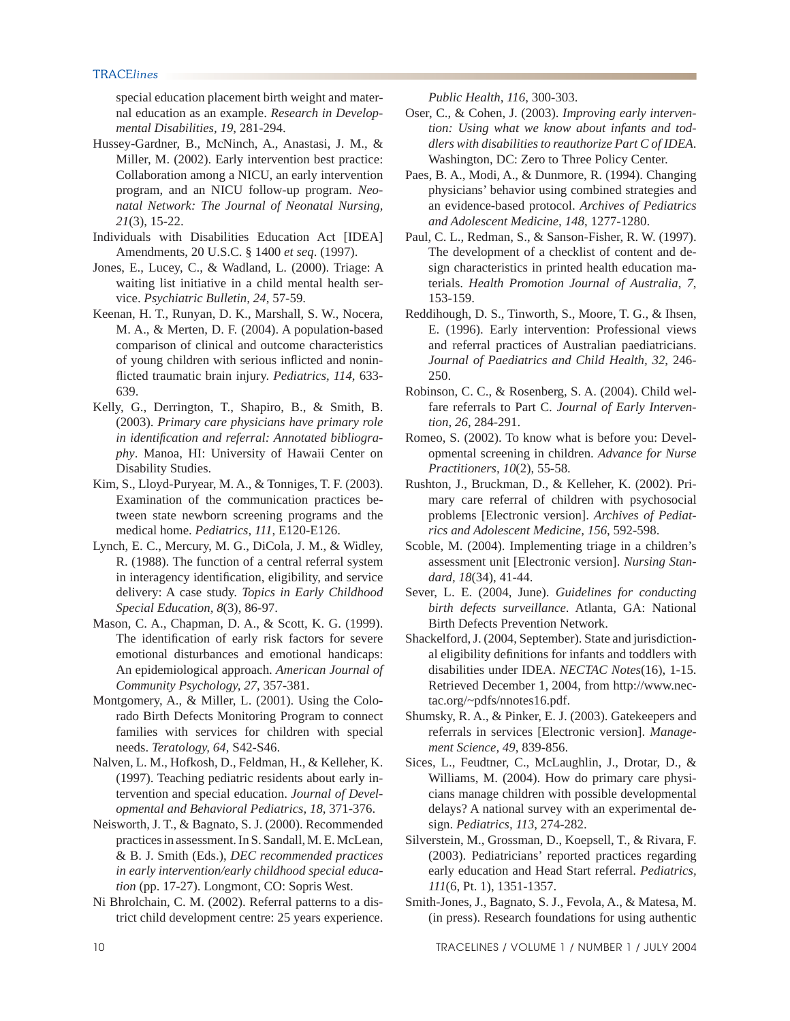special education placement birth weight and maternal education as an example. *Research in Developmental Disabilities, 19*, 281-294.

- Hussey-Gardner, B., McNinch, A., Anastasi, J. M., & Miller, M. (2002). Early intervention best practice: Collaboration among a NICU, an early intervention program, and an NICU follow-up program. *Neonatal Network: The Journal of Neonatal Nursing, 21*(3), 15-22.
- Individuals with Disabilities Education Act [IDEA] Amendments, 20 U.S.C. § 1400 *et seq*. (1997).
- Jones, E., Lucey, C., & Wadland, L. (2000). Triage: A waiting list initiative in a child mental health service. *Psychiatric Bulletin, 24*, 57-59.
- Keenan, H. T., Runyan, D. K., Marshall, S. W., Nocera, M. A., & Merten, D. F. (2004). A population-based comparison of clinical and outcome characteristics of young children with serious inflicted and noninflicted traumatic brain injury. *Pediatrics, 114*, 633-639.
- Kelly, G., Derrington, T., Shapiro, B., & Smith, B. (2003). *Primary care physicians have primary role in identifi cation and referral: Annotated bibliography*. Manoa, HI: University of Hawaii Center on Disability Studies.
- Kim, S., Lloyd-Puryear, M. A., & Tonniges, T. F. (2003). Examination of the communication practices between state newborn screening programs and the medical home. *Pediatrics, 111*, E120-E126.
- Lynch, E. C., Mercury, M. G., DiCola, J. M., & Widley, R. (1988). The function of a central referral system in interagency identification, eligibility, and service delivery: A case study. *Topics in Early Childhood Special Education, 8*(3), 86-97.
- Mason, C. A., Chapman, D. A., & Scott, K. G. (1999). The identification of early risk factors for severe emotional disturbances and emotional handicaps: An epidemiological approach. *American Journal of Community Psychology, 27*, 357-381.
- Montgomery, A., & Miller, L. (2001). Using the Colorado Birth Defects Monitoring Program to connect families with services for children with special needs. *Teratology, 64*, S42-S46.
- Nalven, L. M., Hofkosh, D., Feldman, H., & Kelleher, K. (1997). Teaching pediatric residents about early intervention and special education. *Journal of Developmental and Behavioral Pediatrics, 18*, 371-376.
- Neisworth, J. T., & Bagnato, S. J. (2000). Recommended practices in assessment. In S. Sandall, M. E. McLean, & B. J. Smith (Eds.), *DEC recommended practices in early intervention/early childhood special education* (pp. 17-27). Longmont, CO: Sopris West.
- Ni Bhrolchain, C. M. (2002). Referral patterns to a district child development centre: 25 years experience.

*Public Health, 116*, 300-303.

- Oser, C., & Cohen, J. (2003). *Improving early intervention: Using what we know about infants and toddlers with disabilities to reauthorize Part C of IDEA*. Washington, DC: Zero to Three Policy Center.
- Paes, B. A., Modi, A., & Dunmore, R. (1994). Changing physicians' behavior using combined strategies and an evidence-based protocol. *Archives of Pediatrics and Adolescent Medicine, 148*, 1277-1280.
- Paul, C. L., Redman, S., & Sanson-Fisher, R. W. (1997). The development of a checklist of content and design characteristics in printed health education materials. *Health Promotion Journal of Australia, 7*, 153-159.
- Reddihough, D. S., Tinworth, S., Moore, T. G., & Ihsen, E. (1996). Early intervention: Professional views and referral practices of Australian paediatricians. *Journal of Paediatrics and Child Health, 32*, 246- 250.
- Robinson, C. C., & Rosenberg, S. A. (2004). Child welfare referrals to Part C. *Journal of Early Intervention, 26*, 284-291.
- Romeo, S. (2002). To know what is before you: Developmental screening in children. *Advance for Nurse Practitioners, 10*(2), 55-58.
- Rushton, J., Bruckman, D., & Kelleher, K. (2002). Primary care referral of children with psychosocial problems [Electronic version]. *Archives of Pediatrics and Adolescent Medicine, 156*, 592-598.
- Scoble, M. (2004). Implementing triage in a children's assessment unit [Electronic version]. *Nursing Standard, 18*(34), 41-44.
- Sever, L. E. (2004, June). *Guidelines for conducting birth defects surveillance*. Atlanta, GA: National Birth Defects Prevention Network.
- Shackelford, J. (2004, September). State and jurisdictional eligibility definitions for infants and toddlers with disabilities under IDEA. *NECTAC Notes*(16), 1-15. Retrieved December 1, 2004, from http://www.nectac.org/~pdfs/nnotes16.pdf.
- Shumsky, R. A., & Pinker, E. J. (2003). Gatekeepers and referrals in services [Electronic version]. *Management Science, 49*, 839-856.
- Sices, L., Feudtner, C., McLaughlin, J., Drotar, D., & Williams, M. (2004). How do primary care physicians manage children with possible developmental delays? A national survey with an experimental design. *Pediatrics, 113*, 274-282.
- Silverstein, M., Grossman, D., Koepsell, T., & Rivara, F. (2003). Pediatricians' reported practices regarding early education and Head Start referral. *Pediatrics, 111*(6, Pt. 1), 1351-1357.
- Smith-Jones, J., Bagnato, S. J., Fevola, A., & Matesa, M. (in press). Research foundations for using authentic

10 TRACELINES / VOLUME 1 / NUMBER 1 / JULY 2004